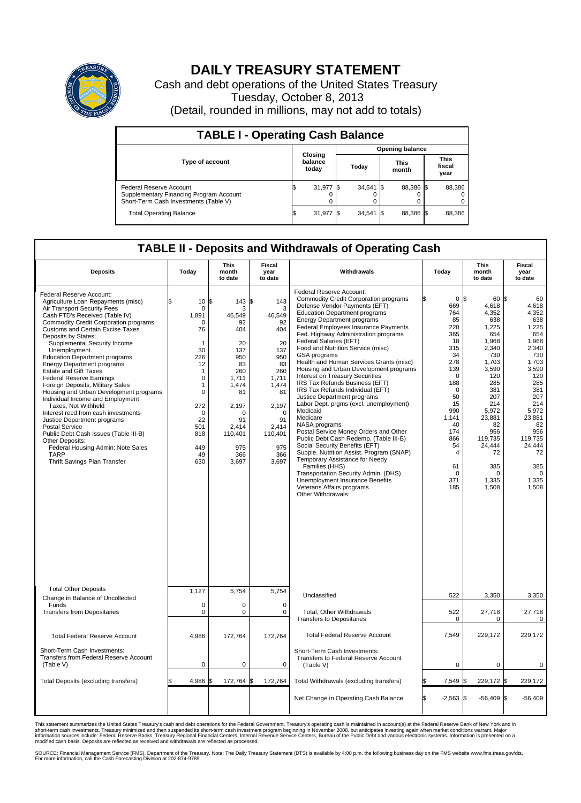

## **DAILY TREASURY STATEMENT**

Cash and debt operations of the United States Treasury Tuesday, October 8, 2013 (Detail, rounded in millions, may not add to totals)

| <b>TABLE I - Operating Cash Balance</b>                                                                     |  |                             |  |                        |  |                      |  |                               |  |  |
|-------------------------------------------------------------------------------------------------------------|--|-----------------------------|--|------------------------|--|----------------------|--|-------------------------------|--|--|
|                                                                                                             |  |                             |  | <b>Opening balance</b> |  |                      |  |                               |  |  |
| <b>Type of account</b>                                                                                      |  | Closing<br>balance<br>today |  | Today                  |  | <b>This</b><br>month |  | <b>This</b><br>fiscal<br>year |  |  |
| Federal Reserve Account<br>Supplementary Financing Program Account<br>Short-Term Cash Investments (Table V) |  | 31,977 \$                   |  | $34,541$ \$            |  | 88.386 \$            |  | 88,386                        |  |  |
| <b>Total Operating Balance</b>                                                                              |  | 31,977 \$                   |  | $34,541$ \$            |  | 88,386 \$            |  | 88,386                        |  |  |

## **TABLE II - Deposits and Withdrawals of Operating Cash**

| <b>Deposits</b>                                                                                                                                                                                                                                                                                                                                                                                                                                                                                                                                                                                                                                                                                                                                                                                                                    | Today                                                                                                                                                                      | <b>This</b><br>month<br>to date                                                                                                                                        | <b>Fiscal</b><br>year<br>to date                                                                                                                               | Withdrawals                                                                                                                                                                                                                                                                                                                                                                                                                                                                                                                                                                                                                                                                                                                                                                                                                                                                                                                                                                                                                     | Today                                                                                                                                                                                                                | <b>This</b><br>month<br>to date                                                                                                                                                                                                        | <b>Fiscal</b><br>year<br>to date                                                                                                                                                                                          |
|------------------------------------------------------------------------------------------------------------------------------------------------------------------------------------------------------------------------------------------------------------------------------------------------------------------------------------------------------------------------------------------------------------------------------------------------------------------------------------------------------------------------------------------------------------------------------------------------------------------------------------------------------------------------------------------------------------------------------------------------------------------------------------------------------------------------------------|----------------------------------------------------------------------------------------------------------------------------------------------------------------------------|------------------------------------------------------------------------------------------------------------------------------------------------------------------------|----------------------------------------------------------------------------------------------------------------------------------------------------------------|---------------------------------------------------------------------------------------------------------------------------------------------------------------------------------------------------------------------------------------------------------------------------------------------------------------------------------------------------------------------------------------------------------------------------------------------------------------------------------------------------------------------------------------------------------------------------------------------------------------------------------------------------------------------------------------------------------------------------------------------------------------------------------------------------------------------------------------------------------------------------------------------------------------------------------------------------------------------------------------------------------------------------------|----------------------------------------------------------------------------------------------------------------------------------------------------------------------------------------------------------------------|----------------------------------------------------------------------------------------------------------------------------------------------------------------------------------------------------------------------------------------|---------------------------------------------------------------------------------------------------------------------------------------------------------------------------------------------------------------------------|
| Federal Reserve Account:<br>Agriculture Loan Repayments (misc)<br>Air Transport Security Fees<br>Cash FTD's Received (Table IV)<br><b>Commodity Credit Corporation programs</b><br>Customs and Certain Excise Taxes<br>Deposits by States:<br>Supplemental Security Income<br>Unemployment<br><b>Education Department programs</b><br><b>Energy Department programs</b><br><b>Estate and Gift Taxes</b><br><b>Federal Reserve Earnings</b><br>Foreign Deposits, Military Sales<br>Housing and Urban Development programs<br>Individual Income and Employment<br>Taxes, Not Withheld<br>Interest recd from cash investments<br>Justice Department programs<br><b>Postal Service</b><br>Public Debt Cash Issues (Table III-B)<br>Other Deposits:<br>Federal Housing Admin: Note Sales<br><b>TARP</b><br>Thrift Savings Plan Transfer | 10<br>$\mathbf 0$<br>1,891<br>$\Omega$<br>76<br>1<br>30<br>226<br>12<br>1<br>$\mathbf 0$<br>1<br>$\mathbf 0$<br>272<br>$\mathbf 0$<br>22<br>501<br>818<br>449<br>49<br>630 | 1\$<br>143S<br>3<br>46,549<br>92<br>404<br>20<br>137<br>950<br>83<br>260<br>1.711<br>1,474<br>81<br>2,197<br>$\Omega$<br>91<br>2,414<br>110,401<br>975<br>366<br>3,697 | 143<br>3<br>46,549<br>92<br>404<br>20<br>137<br>950<br>83<br>260<br>1.711<br>1,474<br>81<br>2,197<br>$\Omega$<br>91<br>2,414<br>110,401<br>975<br>366<br>3,697 | Federal Reserve Account:<br><b>Commodity Credit Corporation programs</b><br>Defense Vendor Payments (EFT)<br><b>Education Department programs</b><br><b>Energy Department programs</b><br>Federal Employees Insurance Payments<br>Fed. Highway Administration programs<br>Federal Salaries (EFT)<br>Food and Nutrition Service (misc)<br><b>GSA</b> programs<br>Health and Human Services Grants (misc)<br>Housing and Urban Development programs<br>Interest on Treasury Securities<br>IRS Tax Refunds Business (EFT)<br>IRS Tax Refunds Individual (EFT)<br>Justice Department programs<br>Labor Dept. prgms (excl. unemployment)<br>Medicaid<br>Medicare<br>NASA programs<br>Postal Service Money Orders and Other<br>Public Debt Cash Redemp. (Table III-B)<br>Social Security Benefits (EFT)<br>Supple. Nutrition Assist. Program (SNAP)<br>Temporary Assistance for Needy<br>Families (HHS)<br>Transportation Security Admin. (DHS)<br>Unemployment Insurance Benefits<br>Veterans Affairs programs<br>Other Withdrawals: | 0 <sup>5</sup><br>669<br>764<br>85<br>220<br>365<br>18<br>315<br>34<br>278<br>139<br>$\Omega$<br>188<br>$\mathbf 0$<br>50<br>15<br>990<br>1,141<br>40<br>174<br>866<br>54<br>$\overline{4}$<br>61<br>0<br>371<br>185 | $60$ $\sqrt{5}$<br>4,618<br>4,352<br>638<br>1,225<br>654<br>1,968<br>2,340<br>730<br>1,703<br>3,590<br>120<br>285<br>381<br>207<br>214<br>5,972<br>23,881<br>82<br>956<br>119,735<br>24,444<br>72<br>385<br>$\Omega$<br>1,335<br>1,508 | 60<br>4,618<br>4,352<br>638<br>1,225<br>654<br>1,968<br>2,340<br>730<br>1,703<br>3,590<br>120<br>285<br>381<br>207<br>214<br>5,972<br>23,881<br>82<br>956<br>119,735<br>24,444<br>72<br>385<br>$\Omega$<br>1,335<br>1.508 |
| <b>Total Other Deposits</b><br>Change in Balance of Uncollected                                                                                                                                                                                                                                                                                                                                                                                                                                                                                                                                                                                                                                                                                                                                                                    | 1,127                                                                                                                                                                      | 5,754                                                                                                                                                                  | 5,754                                                                                                                                                          | Unclassified                                                                                                                                                                                                                                                                                                                                                                                                                                                                                                                                                                                                                                                                                                                                                                                                                                                                                                                                                                                                                    | 522                                                                                                                                                                                                                  | 3,350                                                                                                                                                                                                                                  | 3,350                                                                                                                                                                                                                     |
| Funds<br><b>Transfers from Depositaries</b>                                                                                                                                                                                                                                                                                                                                                                                                                                                                                                                                                                                                                                                                                                                                                                                        | $\mathbf 0$<br>$\mathbf 0$                                                                                                                                                 | $\Omega$<br>0                                                                                                                                                          | $\Omega$<br>0                                                                                                                                                  | Total, Other Withdrawals<br><b>Transfers to Depositaries</b>                                                                                                                                                                                                                                                                                                                                                                                                                                                                                                                                                                                                                                                                                                                                                                                                                                                                                                                                                                    | 522<br>$\mathbf 0$                                                                                                                                                                                                   | 27,718<br>0                                                                                                                                                                                                                            | 27,718<br>0                                                                                                                                                                                                               |
| <b>Total Federal Reserve Account</b>                                                                                                                                                                                                                                                                                                                                                                                                                                                                                                                                                                                                                                                                                                                                                                                               | 4,986                                                                                                                                                                      | 172,764                                                                                                                                                                | 172,764                                                                                                                                                        | <b>Total Federal Reserve Account</b>                                                                                                                                                                                                                                                                                                                                                                                                                                                                                                                                                                                                                                                                                                                                                                                                                                                                                                                                                                                            | 7,549                                                                                                                                                                                                                | 229,172                                                                                                                                                                                                                                | 229,172                                                                                                                                                                                                                   |
| Short-Term Cash Investments:<br><b>Transfers from Federal Reserve Account</b><br>(Table V)                                                                                                                                                                                                                                                                                                                                                                                                                                                                                                                                                                                                                                                                                                                                         | $\pmb{0}$                                                                                                                                                                  | 0                                                                                                                                                                      | 0                                                                                                                                                              | Short-Term Cash Investments:<br>Transfers to Federal Reserve Account<br>(Table V)                                                                                                                                                                                                                                                                                                                                                                                                                                                                                                                                                                                                                                                                                                                                                                                                                                                                                                                                               | 0                                                                                                                                                                                                                    | 0                                                                                                                                                                                                                                      | 0                                                                                                                                                                                                                         |
| Total Deposits (excluding transfers)                                                                                                                                                                                                                                                                                                                                                                                                                                                                                                                                                                                                                                                                                                                                                                                               | 4,986                                                                                                                                                                      | 172,764<br>\$                                                                                                                                                          | \$<br>172,764                                                                                                                                                  | Total Withdrawals (excluding transfers)                                                                                                                                                                                                                                                                                                                                                                                                                                                                                                                                                                                                                                                                                                                                                                                                                                                                                                                                                                                         | 7,549 \$                                                                                                                                                                                                             | 229,172 \$                                                                                                                                                                                                                             | 229,172                                                                                                                                                                                                                   |
|                                                                                                                                                                                                                                                                                                                                                                                                                                                                                                                                                                                                                                                                                                                                                                                                                                    |                                                                                                                                                                            |                                                                                                                                                                        |                                                                                                                                                                | Net Change in Operating Cash Balance                                                                                                                                                                                                                                                                                                                                                                                                                                                                                                                                                                                                                                                                                                                                                                                                                                                                                                                                                                                            | l\$<br>$-2,563$ \$                                                                                                                                                                                                   | $-56,409$ \$                                                                                                                                                                                                                           | $-56,409$                                                                                                                                                                                                                 |

This statement summarizes the United States Treasury's cash and debt operations for the Federal Government. Treasury's operating cash is maintained in account(s) at the Federal Reserve Bank of New York and in<br>short-term ca

SOURCE: Financial Management Service (FMS), Department of the Treasury. Note: The Daily Treasury Statement (DTS) is available by 4:00 p.m. the following business day on the FMS website www.fms.treas.gov/dts.<br>For more infor